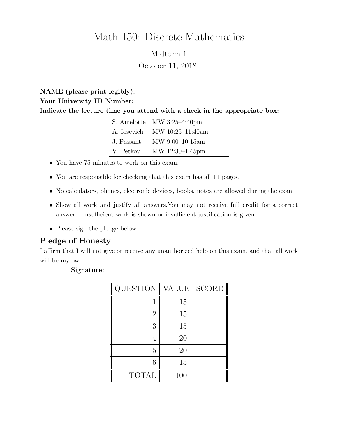# Math 150: Discrete Mathematics

Midterm 1 October 11, 2018

NAME (please print legibly): Your University ID Number: Indicate the lecture time you attend with a check in the appropriate box:

|            | S. Amelotte MW $3:25-4:40 \text{pm}$ |  |
|------------|--------------------------------------|--|
|            | A. Iosevich MW 10:25-11:40am         |  |
| J. Passant | $\text{MW } 9:00-10:15 \text{am}$    |  |
| V. Petkov  | MW 12:30-1:45pm                      |  |

- You have 75 minutes to work on this exam.
- You are responsible for checking that this exam has all 11 pages.
- No calculators, phones, electronic devices, books, notes are allowed during the exam.
- Show all work and justify all answers.You may not receive full credit for a correct answer if insufficient work is shown or insufficient justification is given.
- Please sign the pledge below.

## Pledge of Honesty

I affirm that I will not give or receive any unauthorized help on this exam, and that all work will be my own.

#### Signature:

| <b>QUESTION</b> | VALUE | <b>SCORE</b> |
|-----------------|-------|--------------|
|                 | 15    |              |
| $\overline{2}$  | 15    |              |
| 3               | 15    |              |
|                 | 20    |              |
| 5               | 20    |              |
| 6               | 15    |              |
| <b>TOTAL</b>    | 100   |              |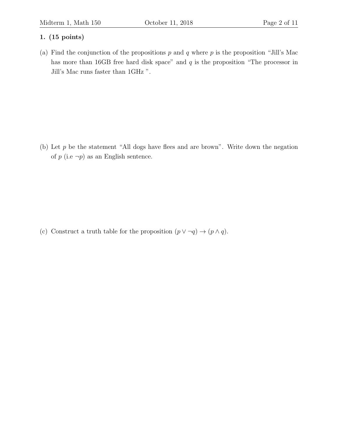(a) Find the conjunction of the propositions  $p$  and  $q$  where  $p$  is the proposition "Jill's Mac has more than 16GB free hard disk space" and  $q$  is the proposition "The processor in Jill's Mac runs faster than 1GHz ".

(b) Let  $p$  be the statement "All dogs have flees and are brown". Write down the negation of  $p$  (i.e  $\neg p$ ) as an English sentence.

(c) Construct a truth table for the proposition  $(p \lor \neg q) \rightarrow (p \land q)$ .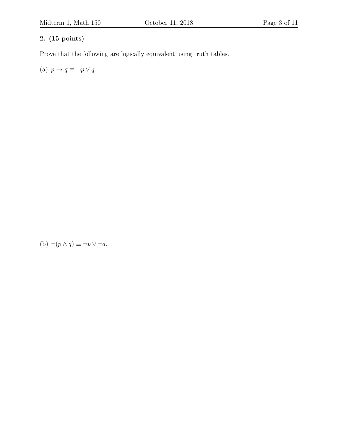Prove that the following are logically equivalent using truth tables.

(a)  $p \to q \equiv \neg p \vee q$ .

(b)  $\neg(p \land q) \equiv \neg p \lor \neg q$ .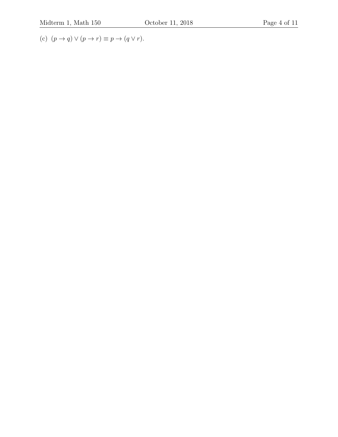(c)  $(p \to q) \lor (p \to r) \equiv p \to (q \lor r).$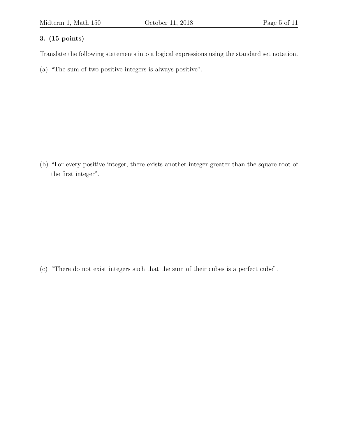Translate the following statements into a logical expressions using the standard set notation.

(a) "The sum of two positive integers is always positive".

(b) "For every positive integer, there exists another integer greater than the square root of the first integer".

(c) "There do not exist integers such that the sum of their cubes is a perfect cube".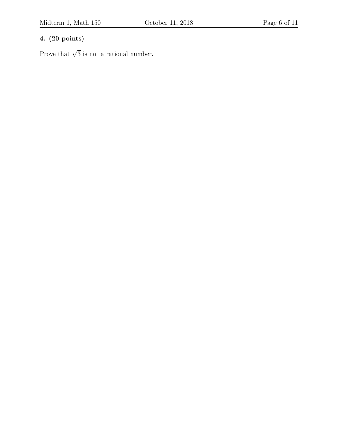# 4. (20 points)

Prove that  $\sqrt{3}$  is not a rational number.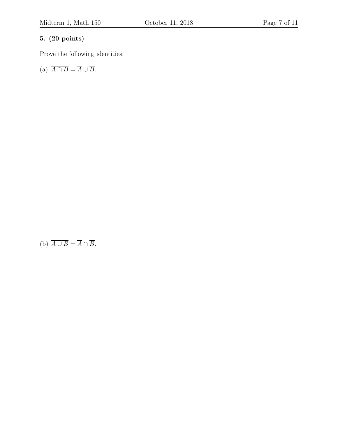# 5. (20 points)

Prove the following identities.

(a)  $\overline{A \cap B} = \overline{A} \cup \overline{B}$ .

(b)  $\overline{A \cup B} = \overline{A} \cap \overline{B}$ .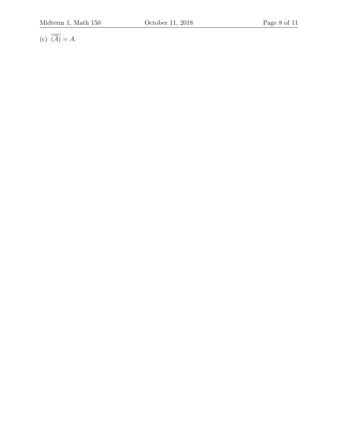(c)  $\overline{(\overline{A})} = A$ .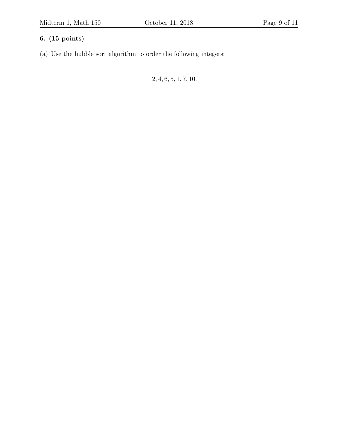(a) Use the bubble sort algorithm to order the following integers:

2, 4, 6, 5, 1, 7, 10.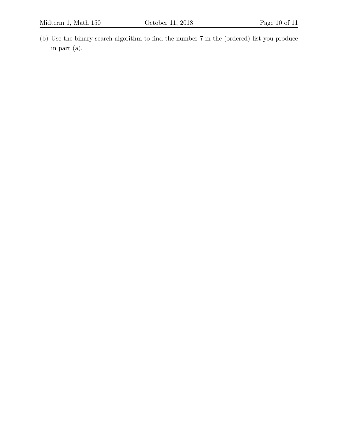(b) Use the binary search algorithm to find the number 7 in the (ordered) list you produce in part (a).